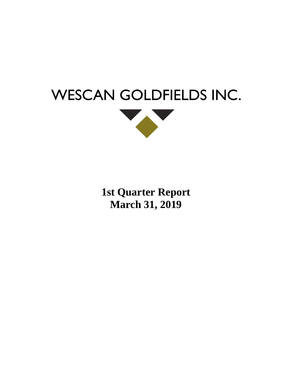



**1st Quarter Report March 31, 2019**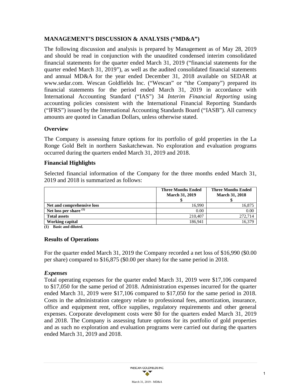# **MANAGEMENT'S DISCUSSION & ANALYSIS ("MD&A")**

The following discussion and analysis is prepared by Management as of May 28, 2019 and should be read in conjunction with the unaudited condensed interim consolidated financial statements for the quarter ended March 31, 2019 ("financial statements for the quarter ended March 31, 2019"), as well as the audited consolidated financial statements and annual MD&A for the year ended December 31, 2018 available on SEDAR at [www.sedar.com.](http://www.sedar.com/) Wescan Goldfields Inc. ("Wescan" or "the Company") prepared its financial statements for the period ended March 31, 2019 in accordance with International Accounting Standard ("IAS") 34 *Interim Financial Reporting* using accounting policies consistent with the International Financial Reporting Standards ("IFRS") issued by the International Accounting Standards Board ("IASB"). All currency amounts are quoted in Canadian Dollars, unless otherwise stated.

### **Overview**

The Company is assessing future options for its portfolio of gold properties in the La Ronge Gold Belt in northern Saskatchewan. No exploration and evaluation programs occurred during the quarters ended March 31, 2019 and 2018.

### **Financial Highlights**

Selected financial information of the Company for the three months ended March 31, 2019 and 2018 is summarized as follows:

|                            | <b>Three Months Ended</b> | <b>Three Months Ended</b> |
|----------------------------|---------------------------|---------------------------|
|                            | <b>March 31, 2019</b>     | <b>March 31, 2018</b>     |
|                            |                           |                           |
| Net and comprehensive loss | 16.990                    | 16,875                    |
| Net loss per share $(1)$   | 0.00                      | 0.00                      |
| <b>Total assets</b>        | 210,407                   | 272,714                   |
| <b>Working capital</b>     | 186.941                   | 16.379                    |

**(1) Basic and diluted.**

# **Results of Operations**

For the quarter ended March 31, 2019 the Company recorded a net loss of \$16,990 (\$0.00 per share) compared to \$16,875 (\$0.00 per share) for the same period in 2018.

# *Expenses*

Total operating expenses for the quarter ended March 31, 2019 were \$17,106 compared to \$17,050 for the same period of 2018. Administration expenses incurred for the quarter ended March 31, 2019 were \$17,106 compared to \$17,050 for the same period in 2018. Costs in the administration category relate to professional fees, amortization, insurance, office and equipment rent, office supplies, regulatory requirements and other general expenses. Corporate development costs were \$0 for the quarters ended March 31, 2019 and 2018. The Company is assessing future options for its portfolio of gold properties and as such no exploration and evaluation programs were carried out during the quarters ended March 31, 2019 and 2018.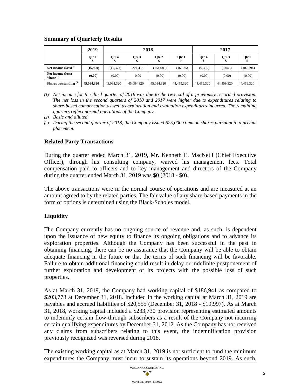|                                   | 2019       | 2018       |              |            | 2017       |            |            |            |
|-----------------------------------|------------|------------|--------------|------------|------------|------------|------------|------------|
|                                   | Qtr 1      | Otr 4      | Otr $3$<br>Φ | Otr 2<br>Ф | Otr 1      | Otr 4      | Otr 3      | Otr 2      |
| Net income $(logs)^{(1)}$         | (16,990)   | (11, 371)  | 224,418      | (154, 683) | (16, 875)  | (9,305)    | (8,045)    | (102, 394) |
| Net income (loss)<br>/share $(2)$ | (0.00)     | (0.00)     | 0.00         | (0.00)     | (0.00)     | (0.00)     | (0.00)     | (0.00)     |
| Shares outstanding $(3)$          | 45,084,320 | 45,084,320 | 45,084,320   | 45,084,320 | 44,459,320 | 44,459,320 | 44,459,320 | 44,459,320 |

### **Summary of Quarterly Results**

*(1) Net income for the third quarter of 2018 was due to the reversal of a previously recorded provision. The net loss in the second quarters of 2018 and 2017 were higher due to expenditures relating to share-based compensation as well as exploration and evaluation expenditures incurred. The remaining quarters reflect normal operations of the Company.*

*(2) Basic and diluted.* 

*(3) During the second quarter of 2018, the Company issued 625,000 common shares pursuant to a private placement.*

# **Related Party Transactions**

During the quarter ended March 31, 2019, Mr. Kenneth E. MacNeill (Chief Executive Officer), through his consulting company, waived his management fees. Total compensation paid to officers and to key management and directors of the Company during the quarter ended March 31, 2019 was \$0 (2018 - \$0).

The above transactions were in the normal course of operations and are measured at an amount agreed to by the related parties. The fair value of any share-based payments in the form of options is determined using the Black-Scholes model.

# **Liquidity**

The Company currently has no ongoing source of revenue and, as such, is dependent upon the issuance of new equity to finance its ongoing obligations and to advance its exploration properties. Although the Company has been successful in the past in obtaining financing, there can be no assurance that the Company will be able to obtain adequate financing in the future or that the terms of such financing will be favorable. Failure to obtain additional financing could result in delay or indefinite postponement of further exploration and development of its projects with the possible loss of such properties.

As at March 31, 2019, the Company had working capital of \$186,941 as compared to \$203,778 at December 31, 2018. Included in the working capital at March 31, 2019 are payables and accrued liabilities of \$20,555 (December 31, 2018 - \$19,997). As at March 31, 2018, working capital included a \$233,730 provision representing estimated amounts to indemnify certain flow-through subscribers as a result of the Company not incurring certain qualifying expenditures by December 31, 2012. As the Company has not received any claims from subscribers relating to this event, the indemnification provision previously recognized was reversed during 2018.

The existing working capital as at March 31, 2019 is not sufficient to fund the minimum expenditures the Company must incur to sustain its operations beyond 2019. As such,

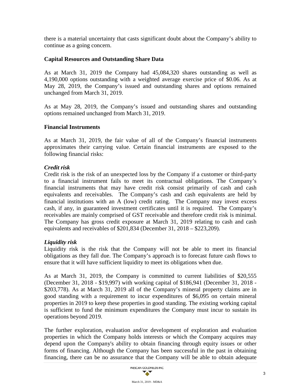there is a material uncertainty that casts significant doubt about the Company's ability to continue as a going concern.

### **Capital Resources and Outstanding Share Data**

As at March 31, 2019 the Company had 45,084,320 shares outstanding as well as 4,190,000 options outstanding with a weighted average exercise price of \$0.06. As at May 28, 2019, the Company's issued and outstanding shares and options remained unchanged from March 31, 2019.

As at May 28, 2019, the Company's issued and outstanding shares and outstanding options remained unchanged from March 31, 2019.

### **Financial Instruments**

As at March 31, 2019, the fair value of all of the Company's financial instruments approximates their carrying value. Certain financial instruments are exposed to the following financial risks:

### *Credit risk*

Credit risk is the risk of an unexpected loss by the Company if a customer or third-party to a financial instrument fails to meet its contractual obligations. The Company's financial instruments that may have credit risk consist primarily of cash and cash equivalents and receivables. The Company's cash and cash equivalents are held by financial institutions with an A (low) credit rating. The Company may invest excess cash, if any, in guaranteed investment certificates until it is required. The Company's receivables are mainly comprised of GST receivable and therefore credit risk is minimal. The Company has gross credit exposure at March 31, 2019 relating to cash and cash equivalents and receivables of \$201,834 (December 31, 2018 – \$223,209).

# *Liquidity risk*

Liquidity risk is the risk that the Company will not be able to meet its financial obligations as they fall due. The Company's approach is to forecast future cash flows to ensure that it will have sufficient liquidity to meet its obligations when due.

As at March 31, 2019, the Company is committed to current liabilities of \$20,555 (December 31, 2018 - \$19,997) with working capital of \$186,941 (December 31, 2018 - \$203,778). As at March 31, 2019 all of the Company's mineral property claims are in good standing with a requirement to incur expenditures of \$6,095 on certain mineral properties in 2019 to keep these properties in good standing. The existing working capital is sufficient to fund the minimum expenditures the Company must incur to sustain its operations beyond 2019.

The further exploration, evaluation and/or development of exploration and evaluation properties in which the Company holds interests or which the Company acquires may depend upon the Company's ability to obtain financing through equity issues or other forms of financing. Although the Company has been successful in the past in obtaining financing, there can be no assurance that the Company will be able to obtain adequate

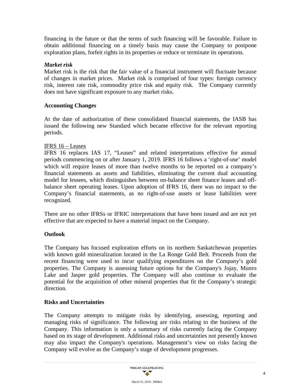financing in the future or that the terms of such financing will be favorable. Failure to obtain additional financing on a timely basis may cause the Company to postpone exploration plans, forfeit rights in its properties or reduce or terminate its operations.

# *Market risk*

Market risk is the risk that the fair value of a financial instrument will fluctuate because of changes in market prices. Market risk is comprised of four types: foreign currency risk, interest rate risk, commodity price risk and equity risk. The Company currently does not have significant exposure to any market risks.

# **Accounting Changes**

At the date of authorization of these consolidated financial statements, the IASB has issued the following new Standard which became effective for the relevant reporting periods.

# IFRS 16 – Leases

IFRS 16 replaces IAS 17, "Leases" and related interpretations effective for annual periods commencing on or after January 1, 2019. IFRS 16 follows a 'right-of-use' model which will require leases of more than twelve months to be reported on a company's financial statements as assets and liabilities, eliminating the current dual accounting model for lessees, which distinguishes between on-balance sheet finance leases and offbalance sheet operating leases. Upon adoption of IFRS 16, there was no impact to the Company's financial statements, as no right-of-use assets or lease liabilities were recognized.

There are no other IFRSs or IFRIC interpretations that have been issued and are not yet effective that are expected to have a material impact on the Company.

# **Outlook**

The Company has focused exploration efforts on its northern Saskatchewan properties with known gold mineralization located in the La Ronge Gold Belt. Proceeds from the recent financing were used to incur qualifying expenditures on the Company's gold properties. The Company is assessing future options for the Company's Jojay, Munro Lake and Jasper gold properties. The Company will also continue to evaluate the potential for the acquisition of other mineral properties that fit the Company's strategic direction.

# **Risks and Uncertainties**

The Company attempts to mitigate risks by identifying, assessing, reporting and managing risks of significance. The following are risks relating to the business of the Company. This information is only a summary of risks currently facing the Company based on its stage of development. Additional risks and uncertainties not presently known may also impact the Company's operations. Management's view on risks facing the Company will evolve as the Company's stage of development progresses.

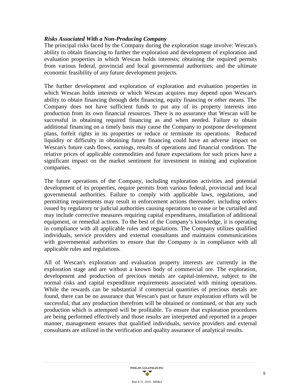### *Risks Associated With a Non-Producing Company*

The principal risks faced by the Company during the exploration stage involve: Wescan's ability to obtain financing to further the exploration and development of exploration and evaluation properties in which Wescan holds interests; obtaining the required permits from various federal, provincial and local governmental authorities; and the ultimate economic feasibility of any future development projects.

The further development and exploration of exploration and evaluation properties in which Wescan holds interests or which Wescan acquires may depend upon Wescan's ability to obtain financing through debt financing, equity financing or other means. The Company does not have sufficient funds to put any of its property interests into production from its own financial resources. There is no assurance that Wescan will be successful in obtaining required financing as and when needed. Failure to obtain additional financing on a timely basis may cause the Company to postpone development plans, forfeit rights in its properties or reduce or terminate its operations. Reduced liquidity or difficulty in obtaining future financing could have an adverse impact on Wescan's future cash flows, earnings, results of operations and financial condition. The relative prices of applicable commodities and future expectations for such prices have a significant impact on the market sentiment for investment in mining and exploration companies.

The future operations of the Company, including exploration activities and potential development of its properties, require permits from various federal, provincial and local governmental authorities. Failure to comply with applicable laws, regulations, and permitting requirements may result in enforcement actions thereunder, including orders issued by regulatory or judicial authorities causing operations to cease or be curtailed and may include corrective measures requiring capital expenditures, installation of additional equipment, or remedial actions. To the best of the Company's knowledge, it is operating in compliance with all applicable rules and regulations. The Company utilizes qualified individuals, service providers and external consultants and maintains communications with governmental authorities to ensure that the Company is in compliance with all applicable rules and regulations.

All of Wescan's exploration and evaluation property interests are currently in the exploration stage and are without a known body of commercial ore. The exploration, development and production of precious metals are capital-intensive, subject to the normal risks and capital expenditure requirements associated with mining operations. While the rewards can be substantial if commercial quantities of precious metals are found, there can be no assurance that Wescan's past or future exploration efforts will be successful, that any production therefrom will be obtained or continued, or that any such production which is attempted will be profitable. To ensure that exploration procedures are being performed effectively and those results are interpreted and reported in a proper manner, management ensures that qualified individuals, service providers and external consultants are utilized in the verification and quality assurance of analytical results.

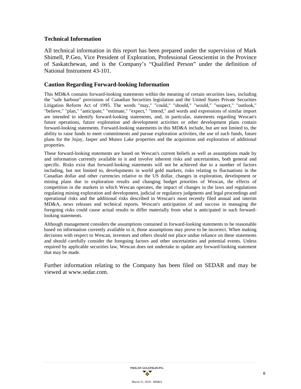### **Technical Information**

All technical information in this report has been prepared under the supervision of Mark Shimell, P.Geo, Vice President of Exploration, Professional Geoscientist in the Province of Saskatchewan, and is the Company's "Qualified Person" under the definition of National Instrument 43-101.

### **Caution Regarding Forward-looking Information**

This MD&A contains forward-looking statements within the meaning of certain securities laws, including the "safe harbour" provisions of Canadian Securities legislation and the United States Private Securities Litigation Reform Act of 1995. The words "may," "could," "should," "would," "suspect," "outlook," "believe," "plan," "anticipate," "estimate," "expect," "intend," and words and expressions of similar import are intended to identify forward-looking statements, and, in particular, statements regarding Wescan's future operations, future exploration and development activities or other development plans contain forward-looking statements. Forward-looking statements in this MD&A include, but are not limited to, the ability to raise funds to meet commitments and pursue exploration activities, the use of such funds, future plans for the Jojay, Jasper and Munro Lake properties and the acquisition and exploration of additional properties.

These forward-looking statements are based on Wescan's current beliefs as well as assumptions made by and information currently available to it and involve inherent risks and uncertainties, both general and specific. Risks exist that forward-looking statements will not be achieved due to a number of factors including, but not limited to, developments in world gold markets, risks relating to fluctuations in the Canadian dollar and other currencies relative to the US dollar, changes in exploration, development or mining plans due to exploration results and changing budget priorities of Wescan, the effects of competition in the markets in which Wescan operates, the impact of changes in the laws and regulations regulating mining exploration and development, judicial or regulatory judgments and legal proceedings and operational risks and the additional risks described in Wescan's most recently filed annual and interim MD&A, news releases and technical reports. Wescan's anticipation of and success in managing the foregoing risks could cause actual results to differ materially from what is anticipated in such forwardlooking statements.

Although management considers the assumptions contained in forward-looking statements to be reasonable based on information currently available to it, those assumptions may prove to be incorrect. When making decisions with respect to Wescan, investors and others should not place undue reliance on these statements and should carefully consider the foregoing factors and other uncertainties and potential events. Unless required by applicable securities law, Wescan does not undertake to update any forward-looking statement that may be made.

Further information relating to the Company has been filed on SEDAR and may be viewed at [www.sedar.com.](http://www.sedar.com/)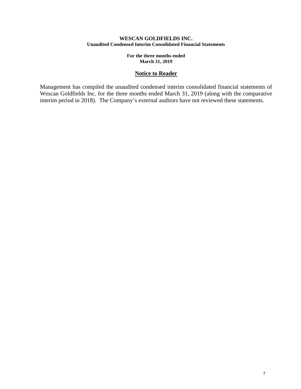### **WESCAN GOLDFIELDS INC. Unaudited Condensed Interim Consolidated Financial Statements**

**For the three months ended March 31, 2019**

### **Notice to Reader**

Management has compiled the unaudited condensed interim consolidated financial statements of Wescan Goldfields Inc. for the three months ended March 31, 2019 (along with the comparative interim period in 2018). The Company's external auditors have not reviewed these statements.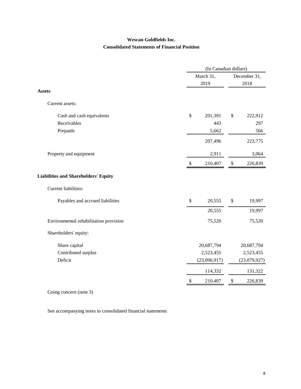# **Wescan Goldfields Inc. Consolidated Statements of Financial Position**

|                                             | (In Canadian dollars)     |                   |    |              |  |
|---------------------------------------------|---------------------------|-------------------|----|--------------|--|
|                                             |                           | March 31,<br>2019 |    | December 31, |  |
|                                             |                           |                   |    | 2018         |  |
| <b>Assets</b>                               |                           |                   |    |              |  |
| Current assets:                             |                           |                   |    |              |  |
| Cash and cash equivalents                   | \$                        | 201,391           | \$ | 222,912      |  |
| Receivables                                 |                           | 443               |    | 297          |  |
| Prepaids                                    |                           | 5,662             |    | 566          |  |
|                                             |                           | 207,496           |    | 223,775      |  |
| Property and equipment                      |                           | 2,911             |    | 3,064        |  |
|                                             | $\mathcal{S}$             | 210,407           | \$ | 226,839      |  |
| <b>Liabilities and Shareholders' Equity</b> |                           |                   |    |              |  |
| Current liabilities:                        |                           |                   |    |              |  |
| Payables and accrued liabilities            | \$                        | 20,555            | \$ | 19,997       |  |
|                                             |                           | 20,555            |    | 19,997       |  |
| Environmental rehabilitation provision      |                           | 75,520            |    | 75,520       |  |
| Shareholders' equity:                       |                           |                   |    |              |  |
| Share capital                               |                           | 20,687,794        |    | 20,687,794   |  |
| Contributed surplus                         |                           | 2,523,455         |    | 2,523,455    |  |
| Deficit                                     |                           | (23,096,917)      |    | (23,079,927) |  |
|                                             |                           | 114,332           |    | 131,322      |  |
|                                             | $\boldsymbol{\mathsf{S}}$ | 210,407           | \$ | 226,839      |  |

Going concern (note 3)

See accompanying notes to consolidated financial statements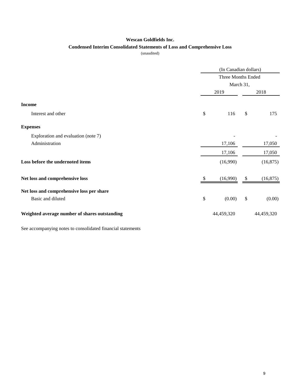### **Wescan Goldfields Inc.**

### **Condensed Interim Consolidated Statements of Loss and Comprehensive Loss**

(unaudited)

|                                               |     | (In Canadian dollars)<br>Three Months Ended<br>March 31, |    |            |  |
|-----------------------------------------------|-----|----------------------------------------------------------|----|------------|--|
|                                               |     |                                                          |    |            |  |
|                                               |     |                                                          |    |            |  |
|                                               |     | 2019                                                     |    | 2018       |  |
| <b>Income</b>                                 |     |                                                          |    |            |  |
| Interest and other                            | \$  | 116                                                      | \$ | 175        |  |
| <b>Expenses</b>                               |     |                                                          |    |            |  |
| Exploration and evaluation (note 7)           |     |                                                          |    |            |  |
| Administration                                |     | 17,106                                                   |    | 17,050     |  |
|                                               |     | 17,106                                                   |    | 17,050     |  |
| Loss before the undernoted items              |     | (16,990)                                                 |    | (16, 875)  |  |
| Net loss and comprehensive loss               | \$. | (16,990)                                                 | \$ | (16, 875)  |  |
| Net loss and comprehensive loss per share     |     |                                                          |    |            |  |
| Basic and diluted                             | \$  | (0.00)                                                   | \$ | (0.00)     |  |
| Weighted average number of shares outstanding |     | 44,459,320                                               |    | 44,459,320 |  |

See accompanying notes to consolidated financial statements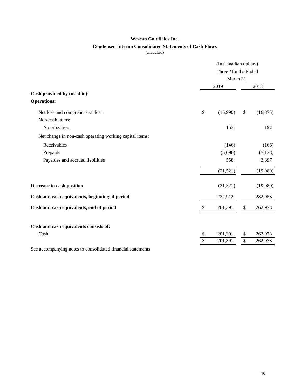### **Wescan Goldfields Inc.**

### **Condensed Interim Consolidated Statements of Cash Flows**

(unaudited)

|                                                             | (In Canadian dollars)<br>Three Months Ended |           |    |           |  |
|-------------------------------------------------------------|---------------------------------------------|-----------|----|-----------|--|
|                                                             |                                             |           |    |           |  |
|                                                             |                                             | March 31, |    |           |  |
|                                                             |                                             | 2019      |    | 2018      |  |
| Cash provided by (used in):                                 |                                             |           |    |           |  |
| <b>Operations:</b>                                          |                                             |           |    |           |  |
| Net loss and comprehensive loss                             | \$                                          | (16,990)  | \$ | (16, 875) |  |
| Non-cash items:                                             |                                             |           |    |           |  |
| Amortization                                                |                                             | 153       |    | 192       |  |
| Net change in non-cash operating working capital items:     |                                             |           |    |           |  |
| Receivables                                                 |                                             | (146)     |    | (166)     |  |
| Prepaids                                                    |                                             | (5,096)   |    | (5,128)   |  |
| Payables and accrued liabilities                            |                                             | 558       |    | 2,897     |  |
|                                                             |                                             | (21,521)  |    | (19,080)  |  |
| Decrease in cash position                                   |                                             | (21, 521) |    | (19,080)  |  |
| Cash and cash equivalents, beginning of period              |                                             | 222,912   |    | 282,053   |  |
| Cash and cash equivalents, end of period                    |                                             | 201,391   | \$ | 262,973   |  |
| Cash and cash equivalents consists of:                      |                                             |           |    |           |  |
| Cash                                                        | \$                                          | 201,391   | \$ | 262,973   |  |
|                                                             | \$                                          | 201,391   | \$ | 262,973   |  |
| See accompanying notes to consolidated financial statements |                                             |           |    |           |  |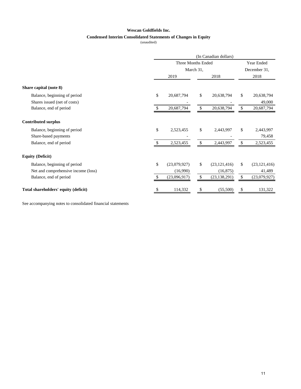#### **Wescan Goldfields Inc.**

### **Condensed Interim Consolidated Statements of Changes in Equity**

(unaudited)

|                                      | (In Canadian dollars)           |              |               |                |                            |                |
|--------------------------------------|---------------------------------|--------------|---------------|----------------|----------------------------|----------------|
|                                      | Three Months Ended<br>March 31, |              |               |                | Year Ended<br>December 31, |                |
|                                      |                                 |              |               |                |                            |                |
|                                      |                                 | 2019         |               | 2018           |                            | 2018           |
| Share capital (note 8)               |                                 |              |               |                |                            |                |
| Balance, beginning of period         | \$                              | 20,687,794   | \$            | 20,638,794     | \$                         | 20,638,794     |
| Shares issued (net of costs)         |                                 |              |               |                |                            | 49,000         |
| Balance, end of period               |                                 | 20,687,794   | $\mathbb{S}$  | 20,638,794     | \$                         | 20,687,794     |
| <b>Contributed surplus</b>           |                                 |              |               |                |                            |                |
| Balance, beginning of period         | \$                              | 2,523,455    | \$            | 2,443,997      | \$                         | 2,443,997      |
| Share-based payments                 |                                 |              |               |                |                            | 79,458         |
| Balance, end of period               | \$.                             | 2,523,455    | \$            | 2,443,997      | \$                         | 2,523,455      |
| <b>Equity (Deficit)</b>              |                                 |              |               |                |                            |                |
| Balance, beginning of period         | \$                              | (23,079,927) | \$            | (23, 121, 416) | \$.                        | (23, 121, 416) |
| Net and comprehensive income (loss)  |                                 | (16,990)     |               | (16, 875)      |                            | 41,489         |
| Balance, end of period               | £.                              | (23,096,917) | <sup>\$</sup> | (23, 138, 291) | \$.                        | (23,079,927)   |
| Total shareholders' equity (deficit) | \$                              | 114,332      | \$            | (55,500)       | S                          | 131,322        |

See accompanying notes to consolidated financial statements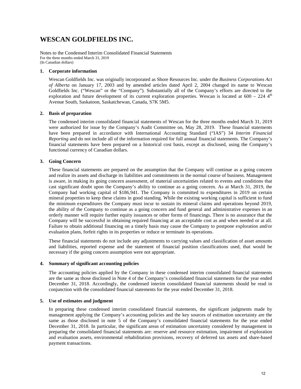# **WESCAN GOLDFIELDS INC.**

Notes to the Condensed Interim Consolidated Financial Statements For the three months ended March 31, 2019 (In Canadian dollars)

#### **1. Corporate information**

Wescan Goldfields Inc. was originally incorporated as Shore Resources Inc. under the *Business Corporations Act of Alberta* on January 17, 2003 and by amended articles dated April 2, 2004 changed its name to Wescan Goldfields Inc. ("Wescan" or the "Company"). Substantially all of the Company's efforts are directed to the exploration and future development of its current exploration properties. Wescan is located at  $600 - 224$  4<sup>th</sup> Avenue South, Saskatoon, Saskatchewan, Canada, S7K 5M5.

#### **2. Basis of preparation**

The condensed interim consolidated financial statements of Wescan for the three months ended March 31, 2019 were authorized for issue by the Company's Audit Committee on, May 28, 2019. These financial statements have been prepared in accordance with International Accounting Standard ("IAS") 34 *Interim Financial Reporting* and do not include all of the information required for full annual financial statements. The Company's financial statements have been prepared on a historical cost basis, except as disclosed, using the Company's functional currency of Canadian dollars.

#### **3. Going Concern**

These financial statements are prepared on the assumption that the Company will continue as a going concern and realize its assets and discharge its liabilities and commitments in the normal course of business. Management is aware, in making its going concern assessment, of material uncertainties related to events and conditions that cast significant doubt upon the Company's ability to continue as a going concern. As at March 31, 2019, the Company had working capital of \$186,941. The Company is committed to expenditures in 2019 on certain mineral properties to keep these claims in good standing. While the existing working capital is sufficient to fund the minimum expenditures the Company must incur to sustain its mineral claims and operations beyond 2019, the ability of the Company to continue as a going concern and fund general and administrative expenses in an orderly manner will require further equity issuances or other forms of financings. There is no assurance that the Company will be successful in obtaining required financing at an acceptable cost as and when needed or at all. Failure to obtain additional financing on a timely basis may cause the Company to postpone exploration and/or evaluation plans, forfeit rights in its properties or reduce or terminate its operations.

These financial statements do not include any adjustments to carrying values and classification of asset amounts and liabilities, reported expense and the statement of financial position classifications used, that would be necessary if the going concern assumption were not appropriate.

#### **4. Summary of significant accounting policies**

The accounting policies applied by the Company in these condensed interim consolidated financial statements are the same as those disclosed in Note 4 of the Company's consolidated financial statements for the year ended December 31, 2018. Accordingly, the condensed interim consolidated financial statements should be read in conjunction with the consolidated financial statements for the year ended December 31, 2018.

#### **5. Use of estimates and judgment**

In preparing these condensed interim consolidated financial statements, the significant judgments made by management applying the Company's accounting policies and the key sources of estimation uncertainty are the same as those disclosed in note 5 of the Company's consolidated financial statements for the year ended December 31, 2018. In particular, the significant areas of estimation uncertainty considered by management in preparing the consolidated financial statements are: reserve and resource estimation, impairment of exploration and evaluation assets, environmental rehabilitation provisions, recovery of deferred tax assets and share-based payment transactions.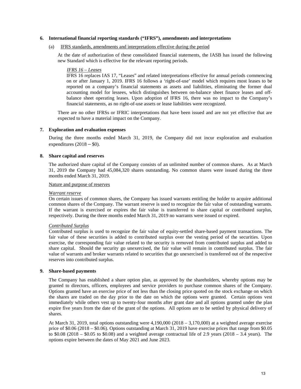#### **6. International financial reporting standards ("IFRS"), amendments and interpretations**

#### IFRS standards, amendments and interpretations effective during the period

At the date of authorization of these consolidated financial statements, the IASB has issued the following new Standard which is effective for the relevant reporting periods.

#### *IFRS 16 – Leases*

IFRS 16 replaces IAS 17, "Leases" and related interpretations effective for annual periods commencing on or after January 1, 2019. IFRS 16 follows a 'right-of-use' model which requires most leases to be reported on a company's financial statements as assets and liabilities, eliminating the former dual accounting model for lessees, which distinguishes between on-balance sheet finance leases and offbalance sheet operating leases. Upon adoption of IFRS 16, there was no impact to the Company's financial statements, as no right-of-use assets or lease liabilities were recognized.

There are no other IFRSs or IFRIC interpretations that have been issued and are not yet effective that are expected to have a material impact on the Company.

#### **7. Exploration and evaluation expenses**

During the three months ended March 31, 2019, the Company did not incur exploration and evaluation expenditures  $(2018 - $0)$ .

#### **8. Share capital and reserves**

The authorized share capital of the Company consists of an unlimited number of common shares. As at March 31, 2019 the Company had 45,084,320 shares outstanding. No common shares were issued during the three months ended March 31, 2019.

#### Nature and purpose of reserves

#### *Warrant reserve*

On certain issues of common shares, the Company has issued warrants entitling the holder to acquire additional common shares of the Company. The warrant reserve is used to recognize the fair value of outstanding warrants. If the warrant is exercised or expires the fair value is transferred to share capital or contributed surplus, respectively. During the three months ended March 31, 2019 no warrants were issued or expired.

#### *Contributed Surplus*

Contributed surplus is used to recognize the fair value of equity-settled share-based payment transactions. The fair value of these securities is added to contributed surplus over the vesting period of the securities. Upon exercise, the corresponding fair value related to the security is removed from contributed surplus and added to share capital. Should the security go unexercised, the fair value will remain in contributed surplus. The fair value of warrants and broker warrants related to securities that go unexercised is transferred out of the respective reserves into contributed surplus.

#### **9. Share-based payments**

The Company has established a share option plan, as approved by the shareholders, whereby options may be granted to directors, officers, employees and service providers to purchase common shares of the Company. Options granted have an exercise price of not less than the closing price quoted on the stock exchange on which the shares are traded on the day prior to the date on which the options were granted. Certain options vest immediately while others vest up to twenty-four months after grant date and all options granted under the plan expire five years from the date of the grant of the options. All options are to be settled by physical delivery of shares.

At March 31, 2019, total options outstanding were 4,190,000 (2018 – 3,170,000) at a weighted average exercise price of \$0.06 (2018 – \$0.06). Options outstanding at March 31, 2019 have exercise prices that range from \$0.05 to  $$0.08$  (2018 –  $$0.05$  to  $$0.08$ ) and a weighted average contractual life of 2.9 years (2018 – 3.4 years). The options expire between the dates of May 2021 and June 2023.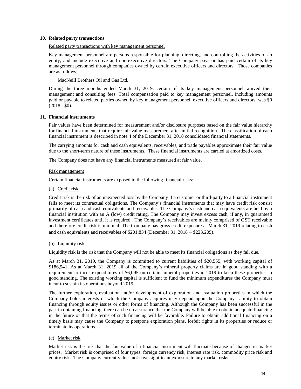#### **10. Related party transactions**

#### Related party transactions with key management personnel

Key management personnel are persons responsible for planning, directing, and controlling the activities of an entity, and include executive and non-executive directors. The Company pays or has paid certain of its key management personnel through companies owned by certain executive officers and directors. Those companies are as follows:

MacNeill Brothers Oil and Gas Ltd.

During the three months ended March 31, 2019, certain of its key management personnel waived their management and consulting fees. Total compensation paid to key management personnel, including amounts paid or payable to related parties owned by key management personnel, executive officers and directors, was \$0  $(2018 - $0)$ .

#### **11. Financial instruments**

Fair values have been determined for measurement and/or disclosure purposes based on the fair value hierarchy for financial instruments that require fair value measurement after initial recognition. The classification of each financial instrument is described in note 4 of the December 31, 2018 consolidated financial statements.

The carrying amounts for cash and cash equivalents, receivables, and trade payables approximate their fair value due to the short-term nature of these instruments. These financial instruments are carried at amortized costs.

The Company does not have any financial instruments measured at fair value.

#### Risk management

Certain financial instruments are exposed to the following financial risks:

#### (a) Credit risk

Credit risk is the risk of an unexpected loss by the Company if a customer or third-party to a financial instrument fails to meet its contractual obligations. The Company's financial instruments that may have credit risk consist primarily of cash and cash equivalents and receivables. The Company's cash and cash equivalents are held by a financial institution with an A (low) credit rating. The Company may invest excess cash, if any, in guaranteed investment certificates until it is required. The Company's receivables are mainly comprised of GST receivable and therefore credit risk is minimal. The Company has gross credit exposure at March 31, 2019 relating to cash and cash equivalents and receivables of \$201,834 (December 31, 2018 – \$223,209).

#### (b) Liquidity risk

Liquidity risk is the risk that the Company will not be able to meet its financial obligations as they fall due.

As at March 31, 2019, the Company is committed to current liabilities of \$20,555, with working capital of \$186,941. As at March 31, 2019 all of the Company's mineral property claims are in good standing with a requirement to incur expenditures of \$6,095 on certain mineral properties in 2019 to keep these properties in good standing. The existing working capital is sufficient to fund the minimum expenditures the Company must incur to sustain its operations beyond 2019.

The further exploration, evaluation and/or development of exploration and evaluation properties in which the Company holds interests or which the Company acquires may depend upon the Company's ability to obtain financing through equity issues or other forms of financing. Although the Company has been successful in the past in obtaining financing, there can be no assurance that the Company will be able to obtain adequate financing in the future or that the terms of such financing will be favorable. Failure to obtain additional financing on a timely basis may cause the Company to postpone exploration plans, forfeit rights in its properties or reduce or terminate its operations.

#### (c) Market risk

Market risk is the risk that the fair value of a financial instrument will fluctuate because of changes in market prices. Market risk is comprised of four types: foreign currency risk, interest rate risk, commodity price risk and equity risk. The Company currently does not have significant exposure to any market risks.